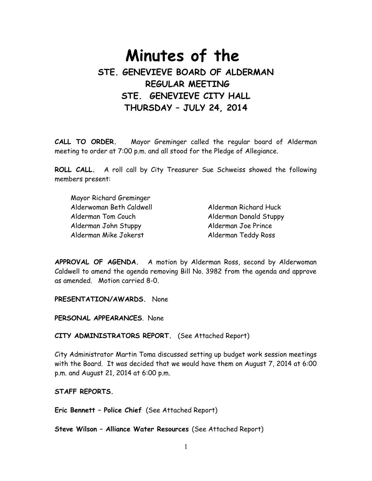# **Minutes of the STE. GENEVIEVE BOARD OF ALDERMAN REGULAR MEETING STE. GENEVIEVE CITY HALL THURSDAY – JULY 24, 2014**

**CALL TO ORDER.** Mayor Greminger called the regular board of Alderman meeting to order at 7:00 p.m. and all stood for the Pledge of Allegiance.

**ROLL CALL.** A roll call by City Treasurer Sue Schweiss showed the following members present:

| Mayor Richard Greminger  |                        |
|--------------------------|------------------------|
| Alderwoman Beth Caldwell | Alderman Richard Huck  |
| Alderman Tom Couch       | Alderman Donald Stuppy |
| Alderman John Stuppy     | Alderman Joe Prince    |
| Alderman Mike Jokerst    | Alderman Teddy Ross    |

**APPROVAL OF AGENDA.** A motion by Alderman Ross, second by Alderwoman Caldwell to amend the agenda removing Bill No. 3982 from the agenda and approve as amended. Motion carried 8-0.

**PRESENTATION/AWARDS.** None

**PERSONAL APPEARANCES**. None

**CITY ADMINISTRATORS REPORT.** (See Attached Report)

City Administrator Martin Toma discussed setting up budget work session meetings with the Board. It was decided that we would have them on August 7, 2014 at 6:00 p.m. and August 21, 2014 at 6:00 p.m.

### **STAFF REPORTS.**

**Eric Bennett – Police Chief** (See Attached Report)

**Steve Wilson – Alliance Water Resources** (See Attached Report)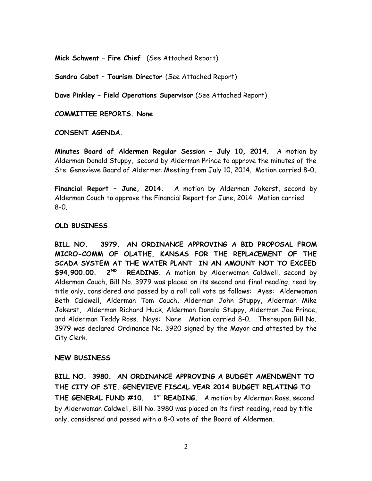**Mick Schwent – Fire Chief** (See Attached Report)

**Sandra Cabot – Tourism Director** (See Attached Report)

**Dave Pinkley – Field Operations Supervisor** (See Attached Report)

**COMMITTEE REPORTS. None**

**CONSENT AGENDA.** 

**Minutes Board of Aldermen Regular Session – July 10, 2014.** A motion by Alderman Donald Stuppy, second by Alderman Prince to approve the minutes of the Ste. Genevieve Board of Aldermen Meeting from July 10, 2014. Motion carried 8-0.

**Financial Report – June, 2014.** A motion by Alderman Jokerst, second by Alderman Couch to approve the Financial Report for June, 2014. Motion carried 8-0.

**OLD BUSINESS.** 

**BILL NO. 3979. AN ORDINANCE APPROVING A BID PROPOSAL FROM MICRO-COMM OF OLATHE, KANSAS FOR THE REPLACEMENT OF THE SCADA SYSTEM AT THE WATER PLANT IN AN AMOUNT NOT TO EXCEED \$94,900.00. 2ND READING.** A motion by Alderwoman Caldwell, second by Alderman Couch, Bill No. 3979 was placed on its second and final reading, read by title only, considered and passed by a roll call vote as follows: Ayes: Alderwoman Beth Caldwell, Alderman Tom Couch, Alderman John Stuppy, Alderman Mike Jokerst, Alderman Richard Huck, Alderman Donald Stuppy, Alderman Joe Prince, and Alderman Teddy Ross. Nays: None Motion carried 8-0. Thereupon Bill No. 3979 was declared Ordinance No. 3920 signed by the Mayor and attested by the City Clerk.

### **NEW BUSINESS**

**BILL NO. 3980. AN ORDINANCE APPROVING A BUDGET AMENDMENT TO THE CITY OF STE. GENEVIEVE FISCAL YEAR 2014 BUDGET RELATING TO THE GENERAL FUND #10. 1st READING.** A motion by Alderman Ross, second by Alderwoman Caldwell, Bill No. 3980 was placed on its first reading, read by title only, considered and passed with a 8-0 vote of the Board of Aldermen.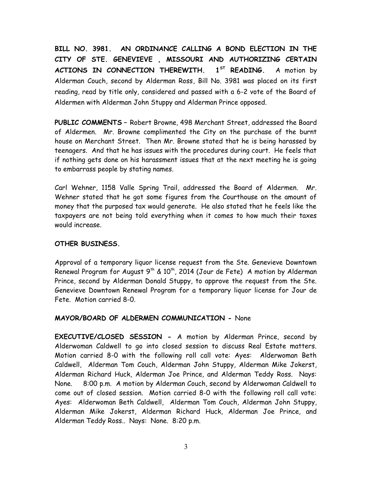**BILL NO. 3981. AN ORDINANCE CALLING A BOND ELECTION IN THE CITY OF STE. GENEVIEVE , MISSOURI AND AUTHORIZING CERTAIN ACTIONS IN CONNECTION THEREWITH. 1ST READING.** A motion by Alderman Couch, second by Alderman Ross, Bill No. 3981 was placed on its first reading, read by title only, considered and passed with a 6-2 vote of the Board of Aldermen with Alderman John Stuppy and Alderman Prince opposed.

**PUBLIC COMMENTS –** Robert Browne, 498 Merchant Street, addressed the Board of Aldermen. Mr. Browne complimented the City on the purchase of the burnt house on Merchant Street. Then Mr. Browne stated that he is being harassed by teenagers. And that he has issues with the procedures during court. He feels that if nothing gets done on his harassment issues that at the next meeting he is going to embarrass people by stating names.

Carl Wehner, 1158 Valle Spring Trail, addressed the Board of Aldermen. Mr. Wehner stated that he got some figures from the Courthouse on the amount of money that the purposed tax would generate. He also stated that he feels like the taxpayers are not being told everything when it comes to how much their taxes would increase.

# **OTHER BUSINESS.**

Approval of a temporary liquor license request from the Ste. Genevieve Downtown Renewal Program for August  $9^{th}$  & 10<sup>th</sup>, 2014 (Jour de Fete) A motion by Alderman Prince, second by Alderman Donald Stuppy, to approve the request from the Ste. Genevieve Downtown Renewal Program for a temporary liquor license for Jour de Fete. Motion carried 8-0.

# **MAYOR/BOARD OF ALDERMEN COMMUNICATION -** None

**EXECUTIVE/CLOSED SESSION -** A motion by Alderman Prince, second by Alderwoman Caldwell to go into closed session to discuss Real Estate matters. Motion carried 8-0 with the following roll call vote: Ayes: Alderwoman Beth Caldwell, Alderman Tom Couch, Alderman John Stuppy, Alderman Mike Jokerst, Alderman Richard Huck, Alderman Joe Prince, and Alderman Teddy Ross. Nays: None. 8:00 p.m. A motion by Alderman Couch, second by Alderwoman Caldwell to come out of closed session. Motion carried 8-0 with the following roll call vote: Ayes: Alderwoman Beth Caldwell, Alderman Tom Couch, Alderman John Stuppy, Alderman Mike Jokerst, Alderman Richard Huck, Alderman Joe Prince, and Alderman Teddy Ross.. Nays: None. 8:20 p.m.